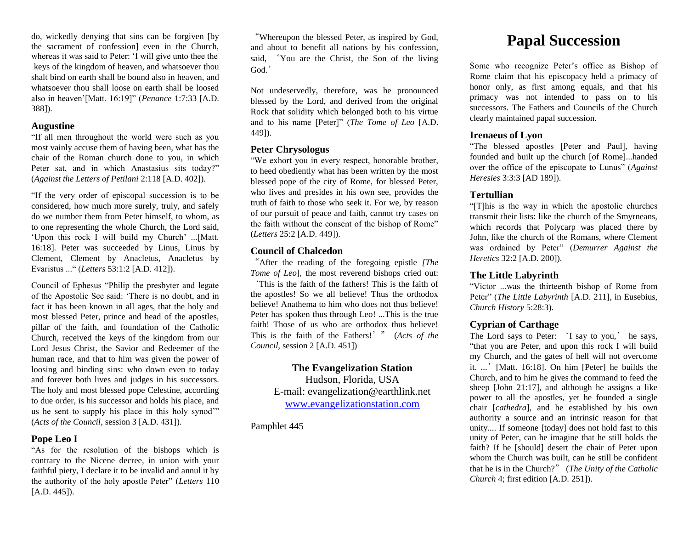do, wickedly denying that sins can be forgiven [by the sacrament of confession] even in the Church, whereas it was said to Peter: 'I will give unto thee the keys of the kingdom of heaven, and whatsoever thou shalt bind on earth shall be bound also in heaven, and whatsoever thou shall loose on earth shall be loosed also in heaven'[Matt. 16:19]" (*Penance* 1:7:33 [A.D. 388]).

### **Augustine**

"If all men throughout the world were such as you most vainly accuse them of having been, what has the chair of the Roman church done to you, in which Peter sat, and in which Anastasius sits today?" (*Against the Letters of Petilani* 2:118 [A.D. 402]).

"If the very order of episcopal succession is to be considered, how much more surely, truly, and safely do we number them from Peter himself, to whom, as to one representing the whole Church, the Lord said, 'Upon this rock I will build my Church' ...[Matt. 16:18]. Peter was succeeded by Linus, Linus by Clement, Clement by Anacletus, Anacletus by Evaristus ..." (*Letters* 53:1:2 [A.D. 412]).

Council of Ephesus "Philip the presbyter and legate of the Apostolic See said: 'There is no doubt, and in fact it has been known in all ages, that the holy and most blessed Peter, prince and head of the apostles, pillar of the faith, and foundation of the Catholic Church, received the keys of the kingdom from our Lord Jesus Christ, the Savior and Redeemer of the human race, and that to him was given the power of loosing and binding sins: who down even to today and forever both lives and judges in his successors. The holy and most blessed pope Celestine, according to due order, is his successor and holds his place, and us he sent to supply his place in this holy synod'" (*Acts of the Council*, session 3 [A.D. 431]).

# **Pope Leo I**

"As for the resolution of the bishops which is contrary to the Nicene decree, in union with your faithful piety, I declare it to be invalid and annul it by the authority of the holy apostle Peter" (*Letters* 110 [A.D. 445]).

"Whereupon the blessed Peter, as inspired by God, and about to benefit all nations by his confession, said, 'You are the Christ, the Son of the living God<sup>'</sup>

Not undeservedly, therefore, was he pronounced blessed by the Lord, and derived from the original Rock that solidity which belonged both to his virtue and to his name [Peter]" (*The Tome of Leo* [A.D. 449]).

# **Peter Chrysologus**

"We exhort you in every respect, honorable brother, to heed obediently what has been written by the most blessed pope of the city of Rome, for blessed Peter, who lives and presides in his own see, provides the truth of faith to those who seek it. For we, by reason of our pursuit of peace and faith, cannot try cases on the faith without the consent of the bishop of Rome" (*Letters* 25:2 [A.D. 449]).

# **Council of Chalcedon**

"After the reading of the foregoing epistle *[The Tome of Leo*], the most reverend bishops cried out:

'This is the faith of the fathers! This is the faith of the apostles! So we all believe! Thus the orthodox believe! Anathema to him who does not thus believe! Peter has spoken thus through Leo! ...This is the true faith! Those of us who are orthodox thus believe! This is the faith of the Fathers!'" (*Acts of the Council,* session 2 [A.D. 451])

> **The Evangelization Station**  Hudson, Florida, USA E-mail: evangelization@earthlink.net [www.evangelizationstation.com](http://www.pjpiisoe.org/)

Pamphlet 445

# **Papal Succession**

Some who recognize Peter's office as Bishop of Rome claim that his episcopacy held a primacy of honor only, as first among equals, and that his primacy was not intended to pass on to his successors. The Fathers and Councils of the Church clearly maintained papal succession.

# **Irenaeus of Lyon**

"The blessed apostles [Peter and Paul], having founded and built up the church [of Rome]...handed over the office of the episcopate to Lunus" (*Against Heresies* 3:3:3 [AD 189]).

# **Tertullian**

"[T]his is the way in which the apostolic churches transmit their lists: like the church of the Smyrneans, which records that Polycarp was placed there by John, like the church of the Romans, where Clement was ordained by Peter" (*Demurrer Against the Heretics* 32:2 [A.D. 200]).

# **The Little Labyrinth**

"Victor ...was the thirteenth bishop of Rome from Peter" (*The Little Labyrinth* [A.D. 211], in Eusebius, *Church History* 5:28:3).

# **Cyprian of Carthage**

The Lord says to Peter: 'I say to you,' he says, "that you are Peter, and upon this rock I will build my Church, and the gates of hell will not overcome it. ...'[Matt. 16:18]. On him [Peter] he builds the Church, and to him he gives the command to feed the sheep [John 21:17], and although he assigns a like power to all the apostles, yet he founded a single chair [*cathedra*], and he established by his own authority a source and an intrinsic reason for that unity.... If someone [today] does not hold fast to this unity of Peter, can he imagine that he still holds the faith? If he [should] desert the chair of Peter upon whom the Church was built, can he still be confident that he is in the Church?" (*The Unity of the Catholic Church* 4; first edition [A.D. 251]).